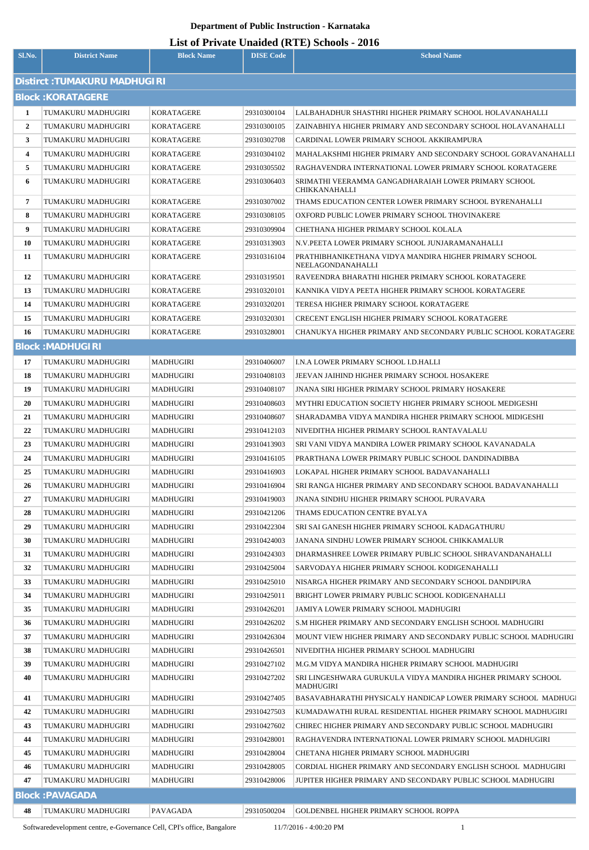## **Department of Public Instruction - Karnataka**

## **List of Private Unaided (RTE) Schools - 2016**

| Sl.No.                        | <b>District Name</b>                     | <b>Block Name</b>        | <b>DISE Code</b>           | $\mathbf{L}$ and $\mathbf{L}$ is a set of $\mathbf{L}$ is a set of $\mathbf{L}$ is a set of $\mathbf{L}$<br><b>School Name</b> |  |  |  |  |
|-------------------------------|------------------------------------------|--------------------------|----------------------------|--------------------------------------------------------------------------------------------------------------------------------|--|--|--|--|
| Distirct : TUMAKURU MADHUGIRI |                                          |                          |                            |                                                                                                                                |  |  |  |  |
| <b>Block: KORATAGERE</b>      |                                          |                          |                            |                                                                                                                                |  |  |  |  |
|                               |                                          |                          |                            |                                                                                                                                |  |  |  |  |
| $\mathbf{1}$<br>$\mathbf{2}$  | TUMAKURU MADHUGIRI<br>TUMAKURU MADHUGIRI | KORATAGERE<br>KORATAGERE | 29310300104<br>29310300105 | LALBAHADHUR SHASTHRI HIGHER PRIMARY SCHOOL HOLAVANAHALLI<br>ZAINABHIYA HIGHER PRIMARY AND SECONDARY SCHOOL HOLAVANAHALLI       |  |  |  |  |
| 3                             | TUMAKURU MADHUGIRI                       | <b>KORATAGERE</b>        | 29310302708                | CARDINAL LOWER PRIMARY SCHOOL AKKIRAMPURA                                                                                      |  |  |  |  |
| 4                             | TUMAKURU MADHUGIRI                       | KORATAGERE               | 29310304102                | MAHALAKSHMI HIGHER PRIMARY AND SECONDARY SCHOOL GORAVANAHALLI                                                                  |  |  |  |  |
| 5                             | TUMAKURU MADHUGIRI                       | <b>KORATAGERE</b>        | 29310305502                | RAGHAVENDRA INTERNATIONAL LOWER PRIMARY SCHOOL KORATAGERE                                                                      |  |  |  |  |
| 6                             | TUMAKURU MADHUGIRI                       | KORATAGERE               | 29310306403                | SRIMATHI VEERAMMA GANGADHARAIAH LOWER PRIMARY SCHOOL                                                                           |  |  |  |  |
|                               |                                          |                          |                            | <b>CHIKKANAHALLI</b>                                                                                                           |  |  |  |  |
| 7                             | TUMAKURU MADHUGIRI                       | KORATAGERE               | 29310307002                | THAMS EDUCATION CENTER LOWER PRIMARY SCHOOL BYRENAHALLI                                                                        |  |  |  |  |
| 8                             | TUMAKURU MADHUGIRI                       | KORATAGERE               | 29310308105                | OXFORD PUBLIC LOWER PRIMARY SCHOOL THOVINAKERE                                                                                 |  |  |  |  |
| 9                             | TUMAKURU MADHUGIRI                       | <b>KORATAGERE</b>        | 29310309904                | CHETHANA HIGHER PRIMARY SCHOOL KOLALA                                                                                          |  |  |  |  |
| 10                            | TUMAKURU MADHUGIRI                       | KORATAGERE               | 29310313903                | N.V.PEETA LOWER PRIMARY SCHOOL JUNJARAMANAHALLI                                                                                |  |  |  |  |
| 11                            | TUMAKURU MADHUGIRI                       | KORATAGERE               | 29310316104                | PRATHIBHANIKETHANA VIDYA MANDIRA HIGHER PRIMARY SCHOOL<br>NEELAGONDANAHALLI                                                    |  |  |  |  |
| 12                            | TUMAKURU MADHUGIRI                       | <b>KORATAGERE</b>        | 29310319501                | RAVEENDRA BHARATHI HIGHER PRIMARY SCHOOL KORATAGERE                                                                            |  |  |  |  |
| 13                            | TUMAKURU MADHUGIRI                       | KORATAGERE               | 29310320101                | KANNIKA VIDYA PEETA HIGHER PRIMARY SCHOOL KORATAGERE                                                                           |  |  |  |  |
| 14                            | TUMAKURU MADHUGIRI                       | KORATAGERE               | 29310320201                | TERESA HIGHER PRIMARY SCHOOL KORATAGERE                                                                                        |  |  |  |  |
| 15                            | TUMAKURU MADHUGIRI                       | KORATAGERE               | 29310320301                | <b>CRECENT ENGLISH HIGHER PRIMARY SCHOOL KORATAGERE</b>                                                                        |  |  |  |  |
| 16                            | TUMAKURU MADHUGIRI                       | KORATAGERE               | 29310328001                | CHANUKYA HIGHER PRIMARY AND SECONDARY PUBLIC SCHOOL KORATAGERE                                                                 |  |  |  |  |
|                               | <b>Block: MADHUGIRI</b>                  |                          |                            |                                                                                                                                |  |  |  |  |
| 17                            | TUMAKURU MADHUGIRI                       | MADHUGIRI                | 29310406007                | I.N.A LOWER PRIMARY SCHOOL I.D.HALLI                                                                                           |  |  |  |  |
| 18                            | TUMAKURU MADHUGIRI                       | MADHUGIRI                | 29310408103                | JEEVAN JAIHIND HIGHER PRIMARY SCHOOL HOSAKERE                                                                                  |  |  |  |  |
| 19                            | TUMAKURU MADHUGIRI                       | MADHUGIRI                | 29310408107                | <b>JNANA SIRI HIGHER PRIMARY SCHOOL PRIMARY HOSAKERE</b>                                                                       |  |  |  |  |
| 20                            | TUMAKURU MADHUGIRI                       | MADHUGIRI                | 29310408603                | MYTHRI EDUCATION SOCIETY HIGHER PRIMARY SCHOOL MEDIGESHI                                                                       |  |  |  |  |
| 21                            | TUMAKURU MADHUGIRI                       | MADHUGIRI                | 29310408607                | SHARADAMBA VIDYA MANDIRA HIGHER PRIMARY SCHOOL MIDIGESHI                                                                       |  |  |  |  |
| 22                            | TUMAKURU MADHUGIRI                       | MADHUGIRI                | 29310412103                | NIVEDITHA HIGHER PRIMARY SCHOOL RANTAVALALU                                                                                    |  |  |  |  |
| 23                            | TUMAKURU MADHUGIRI                       | MADHUGIRI                | 29310413903                | SRI VANI VIDYA MANDIRA LOWER PRIMARY SCHOOL KAVANADALA                                                                         |  |  |  |  |
| 24                            | TUMAKURU MADHUGIRI                       | MADHUGIRI                | 29310416105                | PRARTHANA LOWER PRIMARY PUBLIC SCHOOL DANDINADIBBA                                                                             |  |  |  |  |
| 25                            | TUMAKURU MADHUGIRI                       | MADHUGIRI                | 29310416903                | LOKAPAL HIGHER PRIMARY SCHOOL BADAVANAHALLI                                                                                    |  |  |  |  |
| 26                            | TUMAKURU MADHUGIRI                       | MADHUGIRI                | 29310416904                | SRI RANGA HIGHER PRIMARY AND SECONDARY SCHOOL BADAVANAHALLI                                                                    |  |  |  |  |
| 27                            | TUMAKURU MADHUGIRI                       | MADHUGIRI                | 29310419003                | <b>JNANA SINDHU HIGHER PRIMARY SCHOOL PURAVARA</b>                                                                             |  |  |  |  |
| 28                            | TUMAKURU MADHUGIRI                       | MADHUGIRI                | 29310421206                | THAMS EDUCATION CENTRE BYALYA                                                                                                  |  |  |  |  |
| 29                            | TUMAKURU MADHUGIRI                       | MADHUGIRI                | 29310422304                | SRI SAI GANESH HIGHER PRIMARY SCHOOL KADAGATHURU                                                                               |  |  |  |  |
| 30                            | TUMAKURU MADHUGIRI                       | MADHUGIRI                | 29310424003                | JANANA SINDHU LOWER PRIMARY SCHOOL CHIKKAMALUR                                                                                 |  |  |  |  |
| 31                            | TUMAKURU MADHUGIRI                       | <b>MADHUGIRI</b>         | 29310424303                | DHARMASHREE LOWER PRIMARY PUBLIC SCHOOL SHRAVANDANAHALLI                                                                       |  |  |  |  |
| 32                            | TUMAKURU MADHUGIRI                       | MADHUGIRI                | 29310425004                | SARVODAYA HIGHER PRIMARY SCHOOL KODIGENAHALLI                                                                                  |  |  |  |  |
| 33                            | TUMAKURU MADHUGIRI                       | MADHUGIRI                | 29310425010                | NISARGA HIGHER PRIMARY AND SECONDARY SCHOOL DANDIPURA                                                                          |  |  |  |  |
| 34                            | TUMAKURU MADHUGIRI                       | MADHUGIRI                | 29310425011                | BRIGHT LOWER PRIMARY PUBLIC SCHOOL KODIGENAHALLI                                                                               |  |  |  |  |
| 35                            | TUMAKURU MADHUGIRI                       | <b>MADHUGIRI</b>         | 29310426201                | JAMIYA LOWER PRIMARY SCHOOL MADHUGIRI                                                                                          |  |  |  |  |
| 36                            | TUMAKURU MADHUGIRI                       | MADHUGIRI                | 29310426202                | S.M HIGHER PRIMARY AND SECONDARY ENGLISH SCHOOL MADHUGIRI                                                                      |  |  |  |  |
| 37                            | TUMAKURU MADHUGIRI                       | <b>MADHUGIRI</b>         | 29310426304                | MOUNT VIEW HIGHER PRIMARY AND SECONDARY PUBLIC SCHOOL MADHUGIRI                                                                |  |  |  |  |
| 38                            | TUMAKURU MADHUGIRI                       | MADHUGIRI                | 29310426501                | NIVEDITHA HIGHER PRIMARY SCHOOL MADHUGIRI                                                                                      |  |  |  |  |
| 39                            | TUMAKURU MADHUGIRI                       | <b>MADHUGIRI</b>         | 29310427102                | M.G.M VIDYA MANDIRA HIGHER PRIMARY SCHOOL MADHUGIRI                                                                            |  |  |  |  |
| 40                            | TUMAKURU MADHUGIRI                       | MADHUGIRI                | 29310427202                | SRI LINGESHWARA GURUKULA VIDYA MANDIRA HIGHER PRIMARY SCHOOL<br><b>MADHUGIRI</b>                                               |  |  |  |  |
| 41                            | TUMAKURU MADHUGIRI                       | MADHUGIRI                | 29310427405                | BASAVABHARATHI PHYSICALY HANDICAP LOWER PRIMARY SCHOOL MADHUGI                                                                 |  |  |  |  |
| 42                            | TUMAKURU MADHUGIRI                       | MADHUGIRI                | 29310427503                | KUMADAWATHI RURAL RESIDENTIAL HIGHER PRIMARY SCHOOL MADHUGIRI                                                                  |  |  |  |  |
| 43                            | TUMAKURU MADHUGIRI                       | MADHUGIRI                | 29310427602                | CHIREC HIGHER PRIMARY AND SECONDARY PUBLIC SCHOOL MADHUGIRI                                                                    |  |  |  |  |
| 44                            | TUMAKURU MADHUGIRI                       | MADHUGIRI                | 29310428001                | RAGHAVENDRA INTERNATIONAL LOWER PRIMARY SCHOOL MADHUGIRI                                                                       |  |  |  |  |
| 45                            | TUMAKURU MADHUGIRI                       | MADHUGIRI                | 29310428004                | CHETANA HIGHER PRIMARY SCHOOL MADHUGIRI                                                                                        |  |  |  |  |
| 46                            | TUMAKURU MADHUGIRI                       | MADHUGIRI                | 29310428005                | CORDIAL HIGHER PRIMARY AND SECONDARY ENGLISH SCHOOL MADHUGIRI                                                                  |  |  |  |  |
| 47                            | TUMAKURU MADHUGIRI                       | <b>MADHUGIRI</b>         | 29310428006                | JUPITER HIGHER PRIMARY AND SECONDARY PUBLIC SCHOOL MADHUGIRI                                                                   |  |  |  |  |
| <b>Block: PAVAGADA</b>        |                                          |                          |                            |                                                                                                                                |  |  |  |  |
| 48                            | TUMAKURU MADHUGIRI                       | PAVAGADA                 | 29310500204                | GOLDENBEL HIGHER PRIMARY SCHOOL ROPPA                                                                                          |  |  |  |  |

Softwaredevelopment centre, e-Governance Cell, CPI's office, Bangalore 11/7/2016 - 4:00:20 PM 1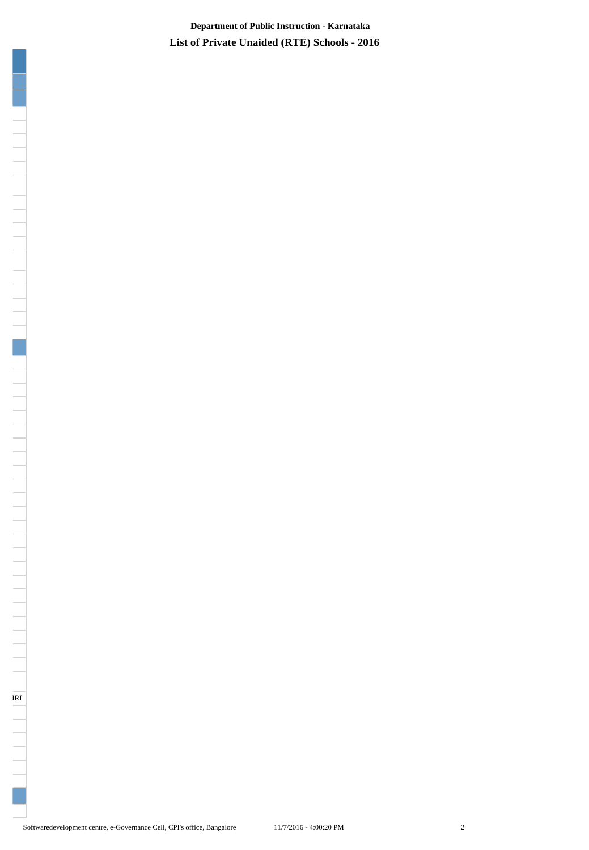**List of Private Unaided (RTE) Schools - 2016 Department of Public Instruction - Karnataka**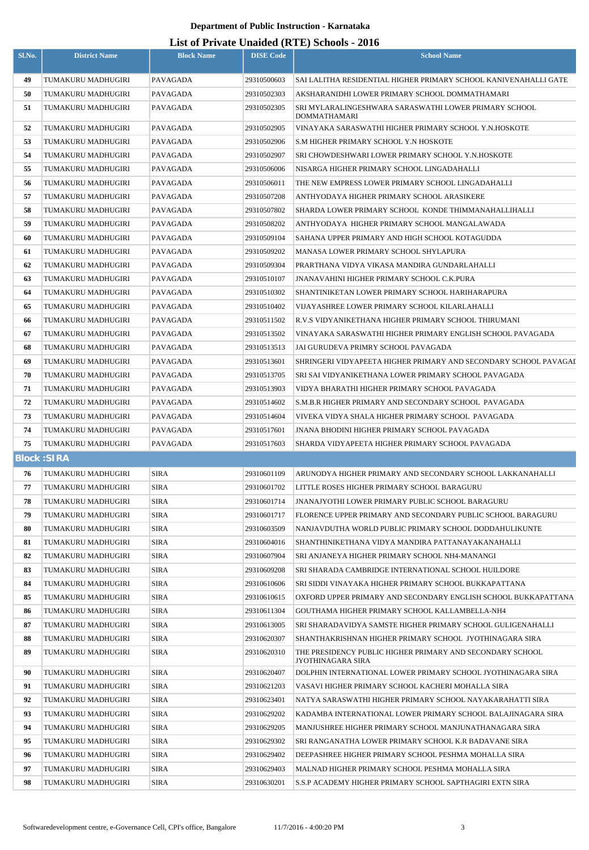## **Department of Public Instruction - Karnataka**

## **List of Private Unaided (RTE) Schools - 2016**

| Sl.No.             | <b>District Name</b>                     | <b>Block Name</b>          | <b>DISE Code</b>           | <b>School Name</b>                                                                                            |
|--------------------|------------------------------------------|----------------------------|----------------------------|---------------------------------------------------------------------------------------------------------------|
|                    |                                          |                            |                            |                                                                                                               |
| 49                 | TUMAKURU MADHUGIRI                       | <b>PAVAGADA</b>            | 29310500603                | SAI LALITHA RESIDENTIAL HIGHER PRIMARY SCHOOL KANIVENAHALLI GATE                                              |
| 50                 | TUMAKURU MADHUGIRI                       | PAVAGADA                   | 29310502303                | AKSHARANIDHI LOWER PRIMARY SCHOOL DOMMATHAMARI                                                                |
| 51                 | TUMAKURU MADHUGIRI                       | PAVAGADA                   | 29310502305                | SRI MYLARALINGESHWARA SARASWATHI LOWER PRIMARY SCHOOL<br><b>DOMMATHAMARI</b>                                  |
| 52                 | TUMAKURU MADHUGIRI                       | PAVAGADA                   | 29310502905                | VINAYAKA SARASWATHI HIGHER PRIMARY SCHOOL Y.N.HOSKOTE                                                         |
| 53                 | TUMAKURU MADHUGIRI                       | PAVAGADA                   | 29310502906                | S.M HIGHER PRIMARY SCHOOL Y.N HOSKOTE                                                                         |
| 54                 | TUMAKURU MADHUGIRI                       | <b>PAVAGADA</b>            | 29310502907                | SRI CHOWDESHWARI LOWER PRIMARY SCHOOL Y.N.HOSKOTE                                                             |
| 55                 | TUMAKURU MADHUGIRI                       | PAVAGADA                   | 29310506006                | NISARGA HIGHER PRIMARY SCHOOL LINGADAHALLI                                                                    |
| 56                 | TUMAKURU MADHUGIRI                       | PAVAGADA                   | 29310506011                | THE NEW EMPRESS LOWER PRIMARY SCHOOL LINGADAHALLI                                                             |
| 57                 | TUMAKURU MADHUGIRI                       | PAVAGADA                   | 29310507208                | ANTHYODAYA HIGHER PRIMARY SCHOOL ARASIKERE                                                                    |
| 58                 | TUMAKURU MADHUGIRI                       | PAVAGADA                   | 29310507802                | SHARDA LOWER PRIMARY SCHOOL KONDE THIMMANAHALLIHALLI                                                          |
| 59                 | TUMAKURU MADHUGIRI                       | PAVAGADA                   | 29310508202                | ANTHYODAYA HIGHER PRIMARY SCHOOL MANGALAWADA                                                                  |
| 60                 | TUMAKURU MADHUGIRI                       | PAVAGADA                   | 29310509104                | SAHANA UPPER PRIMARY AND HIGH SCHOOL KOTAGUDDA                                                                |
| 61                 | TUMAKURU MADHUGIRI                       | PAVAGADA                   | 29310509202                | MANASA LOWER PRIMARY SCHOOL SHYLAPURA                                                                         |
| 62                 | TUMAKURU MADHUGIRI                       | <b>PAVAGADA</b>            | 29310509304                | PRARTHANA VIDYA VIKASA MANDIRA GUNDARLAHALLI                                                                  |
| 63                 | TUMAKURU MADHUGIRI                       | PAVAGADA                   | 29310510107                | <b>JNANAVAHINI HIGHER PRIMARY SCHOOL C.K.PURA</b>                                                             |
| 64                 | TUMAKURU MADHUGIRI                       | <b>PAVAGADA</b>            | 29310510302                | SHANTINIKETAN LOWER PRIMARY SCHOOL HARIHARAPURA                                                               |
| 65                 | TUMAKURU MADHUGIRI                       | PAVAGADA                   | 29310510402                | VIJAYASHREE LOWER PRIMARY SCHOOL KILARLAHALLI                                                                 |
| 66                 | TUMAKURU MADHUGIRI                       | PAVAGADA                   | 29310511502                | R.V.S VIDYANIKETHANA HIGHER PRIMARY SCHOOL THIRUMANI                                                          |
| 67                 | TUMAKURU MADHUGIRI                       | PAVAGADA                   | 29310513502                | VINAYAKA SARASWATHI HIGHER PRIMARY ENGLISH SCHOOL PAVAGADA                                                    |
| 68                 | TUMAKURU MADHUGIRI                       | PAVAGADA                   | 29310513513                | JAI GURUDEVA PRIMRY SCHOOL PAVAGADA                                                                           |
| 69                 | TUMAKURU MADHUGIRI                       | PAVAGADA                   | 29310513601                | SHRINGERI VIDYAPEETA HIGHER PRIMARY AND SECONDARY SCHOOL PAVAGAL                                              |
| 70                 | TUMAKURU MADHUGIRI                       | PAVAGADA                   | 29310513705                | SRI SAI VIDYANIKETHANA LOWER PRIMARY SCHOOL PAVAGADA                                                          |
| 71                 | TUMAKURU MADHUGIRI                       | PAVAGADA                   | 29310513903                | VIDYA BHARATHI HIGHER PRIMARY SCHOOL PAVAGADA                                                                 |
| 72                 | TUMAKURU MADHUGIRI                       | PAVAGADA                   | 29310514602                | S.M.B.R HIGHER PRIMARY AND SECONDARY SCHOOL PAVAGADA                                                          |
| 73                 | TUMAKURU MADHUGIRI                       | PAVAGADA                   | 29310514604                | VIVEKA VIDYA SHALA HIGHER PRIMARY SCHOOL PAVAGADA                                                             |
| 74                 | TUMAKURU MADHUGIRI                       | PAVAGADA                   | 29310517601                | JNANA BHODINI HIGHER PRIMARY SCHOOL PAVAGADA                                                                  |
| 75                 | TUMAKURU MADHUGIRI                       | PAVAGADA                   | 29310517603                | SHARDA VIDYAPEETA HIGHER PRIMARY SCHOOL PAVAGADA                                                              |
| <b>Block: SIRA</b> |                                          |                            |                            |                                                                                                               |
| 76                 | TUMAKURU MADHUGIRI                       | <b>SIRA</b>                | 29310601109                | ARUNODYA HIGHER PRIMARY AND SECONDARY SCHOOL LAKKANAHALLI                                                     |
| 77                 | TUMAKURU MADHUGIRI                       | <b>SIRA</b>                | 29310601702                | LITTLE ROSES HIGHER PRIMARY SCHOOL BARAGURU                                                                   |
| 78                 | TUMAKURU MADHUGIRI                       | <b>SIRA</b>                | 29310601714                | JNANAJYOTHI LOWER PRIMARY PUBLIC SCHOOL BARAGURU                                                              |
| 79                 | TUMAKURU MADHUGIRI                       | SIRA                       | 29310601717                | FLORENCE UPPER PRIMARY AND SECONDARY PUBLIC SCHOOL BARAGURU                                                   |
| 80                 | TUMAKURU MADHUGIRI                       | SIRA                       | 29310603509                | NANJAVDUTHA WORLD PUBLIC PRIMARY SCHOOL DODDAHULIKUNTE                                                        |
| 81                 | TUMAKURU MADHUGIRI                       | <b>SIRA</b>                | 29310604016                | SHANTHINIKETHANA VIDYA MANDIRA PATTANAYAKANAHALLI                                                             |
| 82                 | TUMAKURU MADHUGIRI                       | <b>SIRA</b>                | 29310607904                | SRI ANJANEYA HIGHER PRIMARY SCHOOL NH4-MANANGI                                                                |
| 83                 | TUMAKURU MADHUGIRI                       | <b>SIRA</b>                | 29310609208                | SRI SHARADA CAMBRIDGE INTERNATIONAL SCHOOL HUILDORE                                                           |
| 84<br>85           | TUMAKURU MADHUGIRI                       | <b>SIRA</b>                | 29310610606                | SRI SIDDI VINAYAKA HIGHER PRIMARY SCHOOL BUKKAPATTANA                                                         |
|                    | TUMAKURU MADHUGIRI                       | <b>SIRA</b>                | 29310610615<br>29310611304 | OXFORD UPPER PRIMARY AND SECONDARY ENGLISH SCHOOL BUKKAPATTANA                                                |
| 86<br>87           | TUMAKURU MADHUGIRI<br>TUMAKURU MADHUGIRI | <b>SIRA</b><br><b>SIRA</b> | 29310613005                | GOUTHAMA HIGHER PRIMARY SCHOOL KALLAMBELLA-NH4<br>SRI SHARADAVIDYA SAMSTE HIGHER PRIMARY SCHOOL GULIGENAHALLI |
| 88                 | TUMAKURU MADHUGIRI                       | <b>SIRA</b>                | 29310620307                | SHANTHAKRISHNAN HIGHER PRIMARY SCHOOL JYOTHINAGARA SIRA                                                       |
| 89                 | TUMAKURU MADHUGIRI                       | <b>SIRA</b>                | 29310620310                | THE PRESIDENCY PUBLIC HIGHER PRIMARY AND SECONDARY SCHOOL                                                     |
|                    |                                          |                            |                            | JYOTHINAGARA SIRA                                                                                             |
| 90                 | TUMAKURU MADHUGIRI                       | <b>SIRA</b>                | 29310620407                | DOLPHIN INTERNATIONAL LOWER PRIMARY SCHOOL JYOTHINAGARA SIRA                                                  |
| 91                 | TUMAKURU MADHUGIRI                       | SIRA                       | 29310621203                | VASAVI HIGHER PRIMARY SCHOOL KACHERI MOHALLA SIRA                                                             |
| 92                 | TUMAKURU MADHUGIRI                       | SIRA                       | 29310623401                | NATYA SARASWATHI HIGHER PRIMARY SCHOOL NAYAKARAHATTI SIRA                                                     |
| 93                 | TUMAKURU MADHUGIRI                       | SIRA                       | 29310629202                | KADAMBA INTERNATIONAL LOWER PRIMARY SCHOOL BALAJINAGARA SIRA                                                  |
| 94                 | TUMAKURU MADHUGIRI                       | <b>SIRA</b>                | 29310629205                | MANJUSHREE HIGHER PRIMARY SCHOOL MANJUNATHANAGARA SIRA                                                        |
| 95                 | TUMAKURU MADHUGIRI                       | <b>SIRA</b>                | 29310629302                | SRI RANGANATHA LOWER PRIMARY SCHOOL K.R BADAVANE SIRA                                                         |
| 96                 | TUMAKURU MADHUGIRI                       | <b>SIRA</b>                | 29310629402                | DEEPASHREE HIGHER PRIMARY SCHOOL PESHMA MOHALLA SIRA                                                          |
| 97                 | TUMAKURU MADHUGIRI                       | <b>SIRA</b>                | 29310629403                | MALNAD HIGHER PRIMARY SCHOOL PESHMA MOHALLA SIRA                                                              |
| 98                 | TUMAKURU MADHUGIRI                       | <b>SIRA</b>                | 29310630201                | S.S.P ACADEMY HIGHER PRIMARY SCHOOL SAPTHAGIRI EXTN SIRA                                                      |